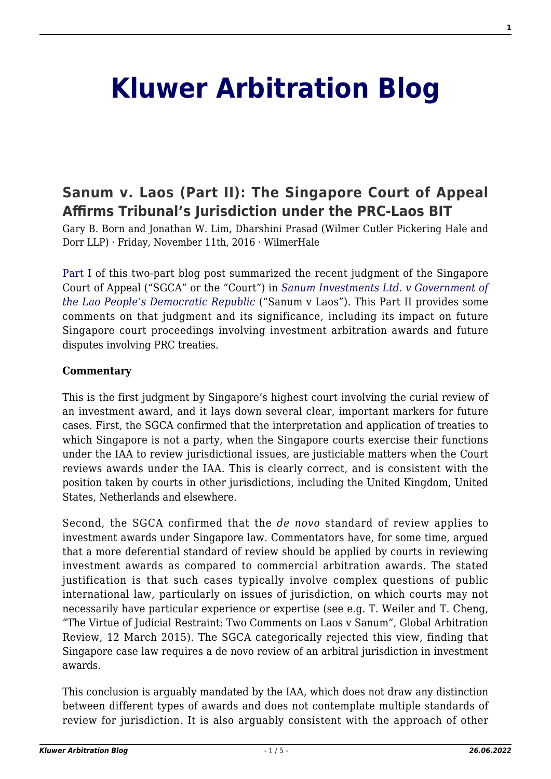# **[Kluwer Arbitration Blog](http://arbitrationblog.kluwerarbitration.com/)**

# **[Sanum v. Laos \(Part II\): The Singapore Court of Appeal](http://arbitrationblog.kluwerarbitration.com/2016/11/11/sanum-v-laos-the-singapore-court-of-appeal-affirms-tribunals-jurisdiction-under-the-prc-laos-bit-part-ii/) [Affirms Tribunal's Jurisdiction under the PRC-Laos BIT](http://arbitrationblog.kluwerarbitration.com/2016/11/11/sanum-v-laos-the-singapore-court-of-appeal-affirms-tribunals-jurisdiction-under-the-prc-laos-bit-part-ii/)**

Gary B. Born and Jonathan W. Lim, Dharshini Prasad (Wilmer Cutler Pickering Hale and Dorr LLP) · Friday, November 11th, 2016 · WilmerHale

[Part I](http://kluwerarbitrationblog.com/2016/11/10/sanum-v-laos-the-singapore-court-of-appeal-affirms-tribunals-jurisdiction-under-the-prc-laos-bit/) of this two-part blog post summarized the recent judgment of the Singapore Court of Appeal ("SGCA" or the "Court") in *[Sanum Investments Ltd. v Government of](http://www.italaw.com/sites/default/files/case-documents/italaw7600.pdf) [the Lao People's Democratic Republic](http://www.italaw.com/sites/default/files/case-documents/italaw7600.pdf)* ("Sanum v Laos"). This Part II provides some comments on that judgment and its significance, including its impact on future Singapore court proceedings involving investment arbitration awards and future disputes involving PRC treaties.

#### **Commentary**

This is the first judgment by Singapore's highest court involving the curial review of an investment award, and it lays down several clear, important markers for future cases. First, the SGCA confirmed that the interpretation and application of treaties to which Singapore is not a party, when the Singapore courts exercise their functions under the IAA to review jurisdictional issues, are justiciable matters when the Court reviews awards under the IAA. This is clearly correct, and is consistent with the position taken by courts in other jurisdictions, including the United Kingdom, United States, Netherlands and elsewhere.

Second, the SGCA confirmed that the *de novo* standard of review applies to investment awards under Singapore law. Commentators have, for some time, argued that a more deferential standard of review should be applied by courts in reviewing investment awards as compared to commercial arbitration awards. The stated justification is that such cases typically involve complex questions of public international law, particularly on issues of jurisdiction, on which courts may not necessarily have particular experience or expertise (see e.g. T. Weiler and T. Cheng, "The Virtue of Judicial Restraint: Two Comments on Laos v Sanum", Global Arbitration Review, 12 March 2015). The SGCA categorically rejected this view, finding that Singapore case law requires a de novo review of an arbitral jurisdiction in investment awards.

This conclusion is arguably mandated by the IAA, which does not draw any distinction between different types of awards and does not contemplate multiple standards of review for jurisdiction. It is also arguably consistent with the approach of other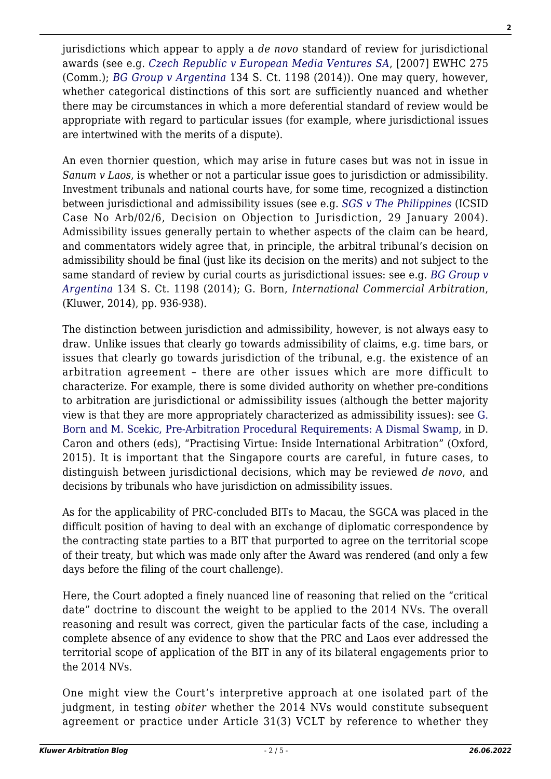jurisdictions which appear to apply a *de novo* standard of review for jurisdictional awards (see e.g. *[Czech Republic v European Media Ventures SA](http://www.bailii.org/ew/cases/EWHC/Comm/2007/2851.html)*, [2007] EWHC 275 (Comm.); *[BG Group v Argentina](http://www.italaw.com/sites/default/files/case-documents/italaw3115.pdf)* 134 S. Ct. 1198 (2014)). One may query, however, whether categorical distinctions of this sort are sufficiently nuanced and whether there may be circumstances in which a more deferential standard of review would be appropriate with regard to particular issues (for example, where jurisdictional issues are intertwined with the merits of a dispute).

An even thornier question, which may arise in future cases but was not in issue in *Sanum v Laos*, is whether or not a particular issue goes to jurisdiction or admissibility. Investment tribunals and national courts have, for some time, recognized a distinction between jurisdictional and admissibility issues (see e.g. *[SGS v The Philippines](http://www.italaw.com/sites/default/files/case-documents/ita0782.pdf)* (ICSID Case No Arb/02/6, Decision on Objection to Jurisdiction, 29 January 2004). Admissibility issues generally pertain to whether aspects of the claim can be heard, and commentators widely agree that, in principle, the arbitral tribunal's decision on admissibility should be final (just like its decision on the merits) and not subject to the same standard of review by curial courts as jurisdictional issues: see e.g. *[BG Group v](http://www.italaw.com/sites/default/files/case-documents/italaw3115.pdf) [Argentina](http://www.italaw.com/sites/default/files/case-documents/italaw3115.pdf)* 134 S. Ct. 1198 (2014); G. Born, *International Commercial Arbitration*, (Kluwer, 2014), pp. 936-938).

The distinction between jurisdiction and admissibility, however, is not always easy to draw. Unlike issues that clearly go towards admissibility of claims, e.g. time bars, or issues that clearly go towards jurisdiction of the tribunal, e.g. the existence of an arbitration agreement – there are other issues which are more difficult to characterize. For example, there is some divided authority on whether pre-conditions to arbitration are jurisdictional or admissibility issues (although the better majority view is that they are more appropriately characterized as admissibility issues): see [G.](https://www.wilmerhale.com/uploadedFiles/Shared_Content/Editorial/Publications/Documents/pre-arbitration-procedural-requirements.pdf) [Born and M. Scekic, Pre-Arbitration Procedural Requirements: A Dismal Swamp,](https://www.wilmerhale.com/uploadedFiles/Shared_Content/Editorial/Publications/Documents/pre-arbitration-procedural-requirements.pdf) in D. Caron and others (eds), "Practising Virtue: Inside International Arbitration" (Oxford, 2015). It is important that the Singapore courts are careful, in future cases, to distinguish between jurisdictional decisions, which may be reviewed *de novo*, and decisions by tribunals who have jurisdiction on admissibility issues.

As for the applicability of PRC-concluded BITs to Macau, the SGCA was placed in the difficult position of having to deal with an exchange of diplomatic correspondence by the contracting state parties to a BIT that purported to agree on the territorial scope of their treaty, but which was made only after the Award was rendered (and only a few days before the filing of the court challenge).

Here, the Court adopted a finely nuanced line of reasoning that relied on the "critical date" doctrine to discount the weight to be applied to the 2014 NVs. The overall reasoning and result was correct, given the particular facts of the case, including a complete absence of any evidence to show that the PRC and Laos ever addressed the territorial scope of application of the BIT in any of its bilateral engagements prior to the 2014 NVs.

One might view the Court's interpretive approach at one isolated part of the judgment, in testing *obiter* whether the 2014 NVs would constitute subsequent agreement or practice under Article 31(3) VCLT by reference to whether they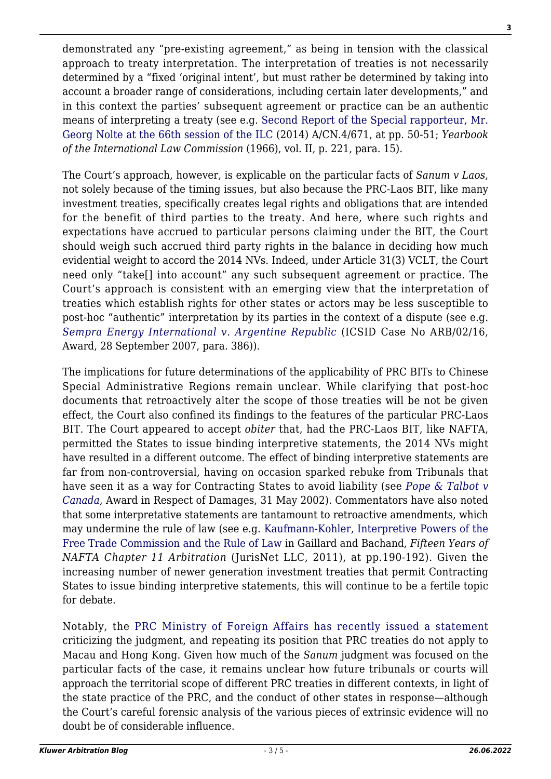demonstrated any "pre-existing agreement," as being in tension with the classical approach to treaty interpretation. The interpretation of treaties is not necessarily determined by a "fixed 'original intent', but must rather be determined by taking into account a broader range of considerations, including certain later developments," and in this context the parties' subsequent agreement or practice can be an authentic means of interpreting a treaty (see e.g. [Second Report of the Special rapporteur, Mr.](http://legal.un.org/docs/?symbol=A/CN.4/671) [Georg Nolte at the 66th session of the ILC \(](http://legal.un.org/docs/?symbol=A/CN.4/671)2014) A/CN.4/671, at pp. 50-51; *Yearbook of the International Law Commission* (1966), vol. II, p. 221, para. 15).

The Court's approach, however, is explicable on the particular facts of *Sanum v Laos*, not solely because of the timing issues, but also because the PRC-Laos BIT, like many investment treaties, specifically creates legal rights and obligations that are intended for the benefit of third parties to the treaty. And here, where such rights and expectations have accrued to particular persons claiming under the BIT, the Court should weigh such accrued third party rights in the balance in deciding how much evidential weight to accord the 2014 NVs. Indeed, under Article 31(3) VCLT, the Court need only "take[] into account" any such subsequent agreement or practice. The Court's approach is consistent with an emerging view that the interpretation of treaties which establish rights for other states or actors may be less susceptible to post-hoc "authentic" interpretation by its parties in the context of a dispute (see e.g. *[Sempra Energy International v. Argentine Republic](http://www.italaw.com/documents/SempraAward.pdf)* (ICSID Case No ARB/02/16, Award, 28 September 2007, para. 386)).

The implications for future determinations of the applicability of PRC BITs to Chinese Special Administrative Regions remain unclear. While clarifying that post-hoc documents that retroactively alter the scope of those treaties will be not be given effect, the Court also confined its findings to the features of the particular PRC-Laos BIT. The Court appeared to accept *obiter* that, had the PRC-Laos BIT, like NAFTA, permitted the States to issue binding interpretive statements, the 2014 NVs might have resulted in a different outcome. The effect of binding interpretive statements are far from non-controversial, having on occasion sparked rebuke from Tribunals that have seen it as a way for Contracting States to avoid liability (see *[Pope & Talbot v](http://www.italaw.com/sites/default/files/case-documents/ita0686.pdf) [Canada](http://www.italaw.com/sites/default/files/case-documents/ita0686.pdf)*, Award in Respect of Damages, 31 May 2002). Commentators have also noted that some interpretative statements are tantamount to retroactive amendments, which may undermine the rule of law (see e.g. [Kaufmann-Kohler, Interpretive Powers of the](http://www.arbitration-icca.org/media/1/13571335953400/interpretive_powers_of_the_free_trade_commission_and_the_rule_of_law_kaufmann-kohler.pdf) [Free Trade Commission and the Rule of Law](http://www.arbitration-icca.org/media/1/13571335953400/interpretive_powers_of_the_free_trade_commission_and_the_rule_of_law_kaufmann-kohler.pdf) in Gaillard and Bachand, *Fifteen Years of NAFTA Chapter 11 Arbitration* (JurisNet LLC, 2011), at pp.190-192). Given the increasing number of newer generation investment treaties that permit Contracting States to issue binding interpretive statements, this will continue to be a fertile topic for debate.

Notably, the [PRC Ministry of Foreign Affairs has recently issued a statement](http://www.fmprc.gov.cn/mfa_eng/xwfw_665399/s2510_665401/2511_665403/t1407743.shtml) criticizing the judgment, and repeating its position that PRC treaties do not apply to Macau and Hong Kong. Given how much of the *Sanum* judgment was focused on the particular facts of the case, it remains unclear how future tribunals or courts will approach the territorial scope of different PRC treaties in different contexts, in light of the state practice of the PRC, and the conduct of other states in response—although the Court's careful forensic analysis of the various pieces of extrinsic evidence will no doubt be of considerable influence.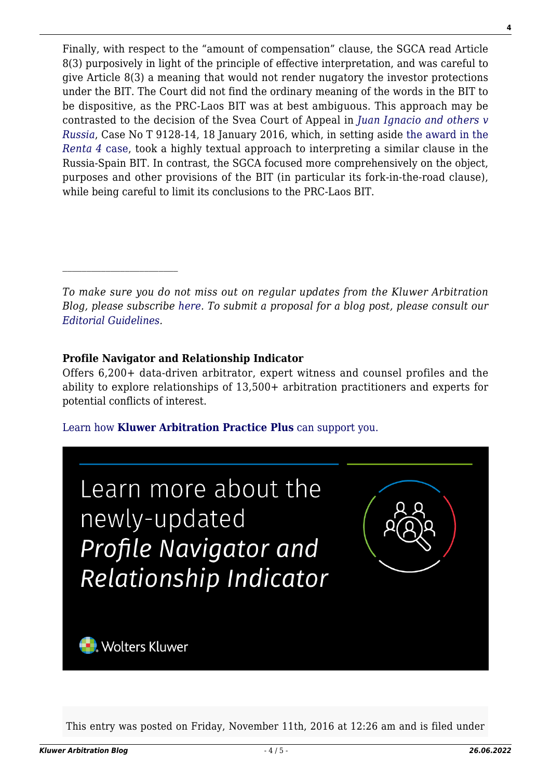Finally, with respect to the "amount of compensation" clause, the SGCA read Article 8(3) purposively in light of the principle of effective interpretation, and was careful to give Article 8(3) a meaning that would not render nugatory the investor protections under the BIT. The Court did not find the ordinary meaning of the words in the BIT to be dispositive, as the PRC-Laos BIT was at best ambiguous. This approach may be contrasted to the decision of the Svea Court of Appeal in *[Juan Ignacio and others v](http://www.arbitration.sccinstitute.com/Views/Pages/GetFile.ashx?portalId=89&cat=79572&docId=2629145&propId=1578) [Russia](http://www.arbitration.sccinstitute.com/Views/Pages/GetFile.ashx?portalId=89&cat=79572&docId=2629145&propId=1578)*, Case No T 9128-14, 18 January 2016, which, in setting aside [the award in the](http://www.italaw.com/sites/default/files/case-documents/ita1075.pdf) *[Renta 4](http://www.italaw.com/sites/default/files/case-documents/ita1075.pdf)* [case,](http://www.italaw.com/sites/default/files/case-documents/ita1075.pdf) took a highly textual approach to interpreting a similar clause in the Russia-Spain BIT. In contrast, the SGCA focused more comprehensively on the object, purposes and other provisions of the BIT (in particular its fork-in-the-road clause), while being careful to limit its conclusions to the PRC-Laos BIT.

*To make sure you do not miss out on regular updates from the Kluwer Arbitration Blog, please subscribe [here](http://arbitrationblog.kluwerarbitration.com/newsletter/). To submit a proposal for a blog post, please consult our [Editorial Guidelines.](http://arbitrationblog.kluwerarbitration.com/editorial-guidelines/)*

## **Profile Navigator and Relationship Indicator**

 $\mathcal{L}_\text{max}$ 

Offers 6,200+ data-driven arbitrator, expert witness and counsel profiles and the ability to explore relationships of 13,500+ arbitration practitioners and experts for potential conflicts of interest.

### [Learn how](https://www.wolterskluwer.com/en/solutions/kluwerarbitration/practiceplus?utm_source=arbitrationblog&utm_medium=articleCTA&utm_campaign=article-banner) **[Kluwer Arbitration Practice Plus](https://www.wolterskluwer.com/en/solutions/kluwerarbitration/practiceplus?utm_source=arbitrationblog&utm_medium=articleCTA&utm_campaign=article-banner)** [can support you.](https://www.wolterskluwer.com/en/solutions/kluwerarbitration/practiceplus?utm_source=arbitrationblog&utm_medium=articleCTA&utm_campaign=article-banner)



This entry was posted on Friday, November 11th, 2016 at 12:26 am and is filed under